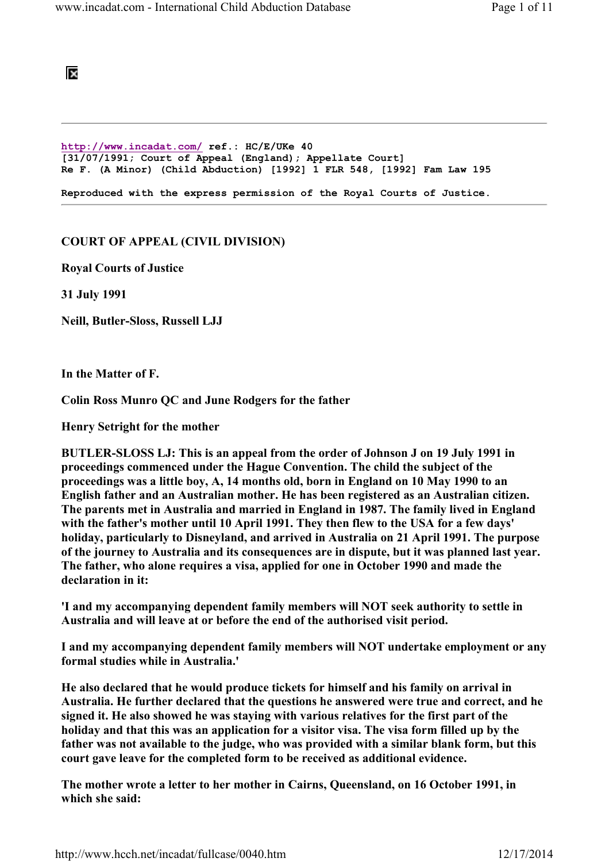## BS.

http://www.incadat.com/ ref.: HC/E/UKe 40 [31/07/1991; Court of Appeal (England); Appellate Court] Re F. (A Minor) (Child Abduction) [1992] 1 FLR 548, [1992] Fam Law 195 Reproduced with the express permission of the Royal Courts of Justice.

## COURT OF APPEAL (CIVIL DIVISION)

Royal Courts of Justice

31 July 1991

Neill, Butler-Sloss, Russell LJJ

In the Matter of F.

Colin Ross Munro QC and June Rodgers for the father

Henry Setright for the mother

BUTLER-SLOSS LJ: This is an appeal from the order of Johnson J on 19 July 1991 in proceedings commenced under the Hague Convention. The child the subject of the proceedings was a little boy, A, 14 months old, born in England on 10 May 1990 to an English father and an Australian mother. He has been registered as an Australian citizen. The parents met in Australia and married in England in 1987. The family lived in England with the father's mother until 10 April 1991. They then flew to the USA for a few days' holiday, particularly to Disneyland, and arrived in Australia on 21 April 1991. The purpose of the journey to Australia and its consequences are in dispute, but it was planned last year. The father, who alone requires a visa, applied for one in October 1990 and made the declaration in it:

'I and my accompanying dependent family members will NOT seek authority to settle in Australia and will leave at or before the end of the authorised visit period.

I and my accompanying dependent family members will NOT undertake employment or any formal studies while in Australia.'

He also declared that he would produce tickets for himself and his family on arrival in Australia. He further declared that the questions he answered were true and correct, and he signed it. He also showed he was staying with various relatives for the first part of the holiday and that this was an application for a visitor visa. The visa form filled up by the father was not available to the judge, who was provided with a similar blank form, but this court gave leave for the completed form to be received as additional evidence.

The mother wrote a letter to her mother in Cairns, Queensland, on 16 October 1991, in which she said: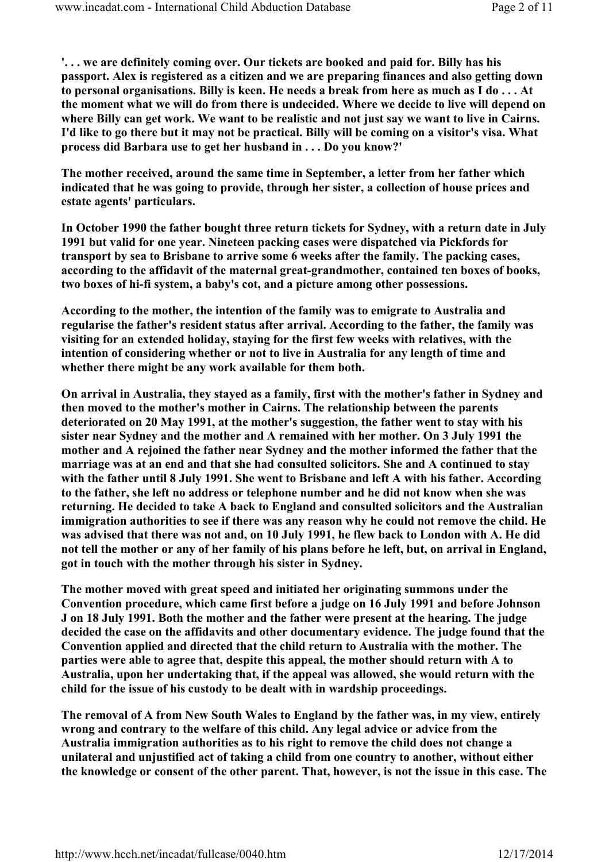'. . . we are definitely coming over. Our tickets are booked and paid for. Billy has his passport. Alex is registered as a citizen and we are preparing finances and also getting down to personal organisations. Billy is keen. He needs a break from here as much as I do . . . At the moment what we will do from there is undecided. Where we decide to live will depend on where Billy can get work. We want to be realistic and not just say we want to live in Cairns. I'd like to go there but it may not be practical. Billy will be coming on a visitor's visa. What process did Barbara use to get her husband in . . . Do you know?'

The mother received, around the same time in September, a letter from her father which indicated that he was going to provide, through her sister, a collection of house prices and estate agents' particulars.

In October 1990 the father bought three return tickets for Sydney, with a return date in July 1991 but valid for one year. Nineteen packing cases were dispatched via Pickfords for transport by sea to Brisbane to arrive some 6 weeks after the family. The packing cases, according to the affidavit of the maternal great-grandmother, contained ten boxes of books, two boxes of hi-fi system, a baby's cot, and a picture among other possessions.

According to the mother, the intention of the family was to emigrate to Australia and regularise the father's resident status after arrival. According to the father, the family was visiting for an extended holiday, staying for the first few weeks with relatives, with the intention of considering whether or not to live in Australia for any length of time and whether there might be any work available for them both.

On arrival in Australia, they stayed as a family, first with the mother's father in Sydney and then moved to the mother's mother in Cairns. The relationship between the parents deteriorated on 20 May 1991, at the mother's suggestion, the father went to stay with his sister near Sydney and the mother and A remained with her mother. On 3 July 1991 the mother and A rejoined the father near Sydney and the mother informed the father that the marriage was at an end and that she had consulted solicitors. She and A continued to stay with the father until 8 July 1991. She went to Brisbane and left A with his father. According to the father, she left no address or telephone number and he did not know when she was returning. He decided to take A back to England and consulted solicitors and the Australian immigration authorities to see if there was any reason why he could not remove the child. He was advised that there was not and, on 10 July 1991, he flew back to London with A. He did not tell the mother or any of her family of his plans before he left, but, on arrival in England, got in touch with the mother through his sister in Sydney.

The mother moved with great speed and initiated her originating summons under the Convention procedure, which came first before a judge on 16 July 1991 and before Johnson J on 18 July 1991. Both the mother and the father were present at the hearing. The judge decided the case on the affidavits and other documentary evidence. The judge found that the Convention applied and directed that the child return to Australia with the mother. The parties were able to agree that, despite this appeal, the mother should return with A to Australia, upon her undertaking that, if the appeal was allowed, she would return with the child for the issue of his custody to be dealt with in wardship proceedings.

The removal of A from New South Wales to England by the father was, in my view, entirely wrong and contrary to the welfare of this child. Any legal advice or advice from the Australia immigration authorities as to his right to remove the child does not change a unilateral and unjustified act of taking a child from one country to another, without either the knowledge or consent of the other parent. That, however, is not the issue in this case. The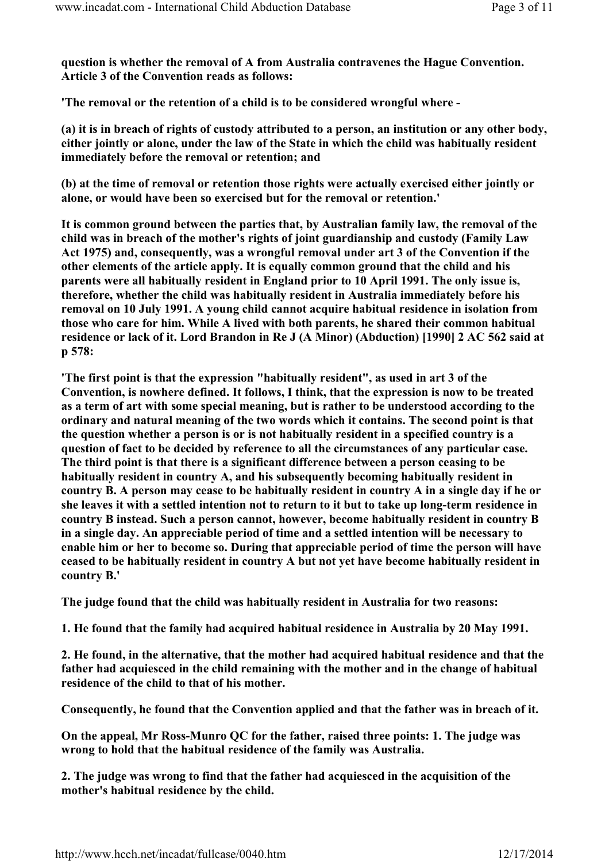question is whether the removal of A from Australia contravenes the Hague Convention. Article 3 of the Convention reads as follows:

'The removal or the retention of a child is to be considered wrongful where -

(a) it is in breach of rights of custody attributed to a person, an institution or any other body, either jointly or alone, under the law of the State in which the child was habitually resident immediately before the removal or retention; and

(b) at the time of removal or retention those rights were actually exercised either jointly or alone, or would have been so exercised but for the removal or retention.'

It is common ground between the parties that, by Australian family law, the removal of the child was in breach of the mother's rights of joint guardianship and custody (Family Law Act 1975) and, consequently, was a wrongful removal under art 3 of the Convention if the other elements of the article apply. It is equally common ground that the child and his parents were all habitually resident in England prior to 10 April 1991. The only issue is, therefore, whether the child was habitually resident in Australia immediately before his removal on 10 July 1991. A young child cannot acquire habitual residence in isolation from those who care for him. While A lived with both parents, he shared their common habitual residence or lack of it. Lord Brandon in Re J (A Minor) (Abduction) [1990] 2 AC 562 said at p 578:

'The first point is that the expression "habitually resident", as used in art 3 of the Convention, is nowhere defined. It follows, I think, that the expression is now to be treated as a term of art with some special meaning, but is rather to be understood according to the ordinary and natural meaning of the two words which it contains. The second point is that the question whether a person is or is not habitually resident in a specified country is a question of fact to be decided by reference to all the circumstances of any particular case. The third point is that there is a significant difference between a person ceasing to be habitually resident in country A, and his subsequently becoming habitually resident in country B. A person may cease to be habitually resident in country A in a single day if he or she leaves it with a settled intention not to return to it but to take up long-term residence in country B instead. Such a person cannot, however, become habitually resident in country B in a single day. An appreciable period of time and a settled intention will be necessary to enable him or her to become so. During that appreciable period of time the person will have ceased to be habitually resident in country A but not yet have become habitually resident in country B.'

The judge found that the child was habitually resident in Australia for two reasons:

1. He found that the family had acquired habitual residence in Australia by 20 May 1991.

2. He found, in the alternative, that the mother had acquired habitual residence and that the father had acquiesced in the child remaining with the mother and in the change of habitual residence of the child to that of his mother.

Consequently, he found that the Convention applied and that the father was in breach of it.

On the appeal, Mr Ross-Munro QC for the father, raised three points: 1. The judge was wrong to hold that the habitual residence of the family was Australia.

2. The judge was wrong to find that the father had acquiesced in the acquisition of the mother's habitual residence by the child.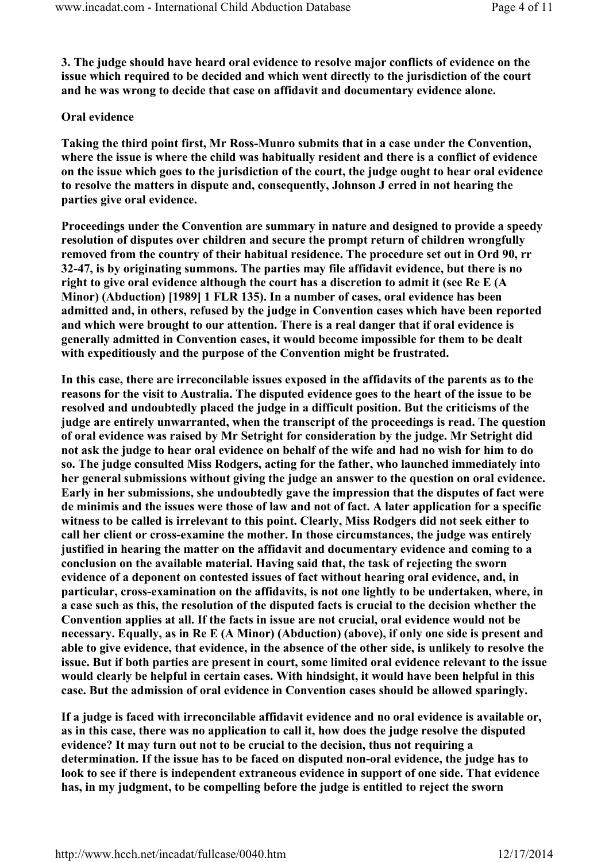3. The judge should have heard oral evidence to resolve major conflicts of evidence on the issue which required to be decided and which went directly to the jurisdiction of the court and he was wrong to decide that case on affidavit and documentary evidence alone.

## Oral evidence

Taking the third point first, Mr Ross-Munro submits that in a case under the Convention, where the issue is where the child was habitually resident and there is a conflict of evidence on the issue which goes to the jurisdiction of the court, the judge ought to hear oral evidence to resolve the matters in dispute and, consequently, Johnson J erred in not hearing the parties give oral evidence.

Proceedings under the Convention are summary in nature and designed to provide a speedy resolution of disputes over children and secure the prompt return of children wrongfully removed from the country of their habitual residence. The procedure set out in Ord 90, rr 32-47, is by originating summons. The parties may file affidavit evidence, but there is no right to give oral evidence although the court has a discretion to admit it (see Re E (A Minor) (Abduction) [1989] 1 FLR 135). In a number of cases, oral evidence has been admitted and, in others, refused by the judge in Convention cases which have been reported and which were brought to our attention. There is a real danger that if oral evidence is generally admitted in Convention cases, it would become impossible for them to be dealt with expeditiously and the purpose of the Convention might be frustrated.

In this case, there are irreconcilable issues exposed in the affidavits of the parents as to the reasons for the visit to Australia. The disputed evidence goes to the heart of the issue to be resolved and undoubtedly placed the judge in a difficult position. But the criticisms of the judge are entirely unwarranted, when the transcript of the proceedings is read. The question of oral evidence was raised by Mr Setright for consideration by the judge. Mr Setright did not ask the judge to hear oral evidence on behalf of the wife and had no wish for him to do so. The judge consulted Miss Rodgers, acting for the father, who launched immediately into her general submissions without giving the judge an answer to the question on oral evidence. Early in her submissions, she undoubtedly gave the impression that the disputes of fact were de minimis and the issues were those of law and not of fact. A later application for a specific witness to be called is irrelevant to this point. Clearly, Miss Rodgers did not seek either to call her client or cross-examine the mother. In those circumstances, the judge was entirely justified in hearing the matter on the affidavit and documentary evidence and coming to a conclusion on the available material. Having said that, the task of rejecting the sworn evidence of a deponent on contested issues of fact without hearing oral evidence, and, in particular, cross-examination on the affidavits, is not one lightly to be undertaken, where, in a case such as this, the resolution of the disputed facts is crucial to the decision whether the Convention applies at all. If the facts in issue are not crucial, oral evidence would not be necessary. Equally, as in Re E (A Minor) (Abduction) (above), if only one side is present and able to give evidence, that evidence, in the absence of the other side, is unlikely to resolve the issue. But if both parties are present in court, some limited oral evidence relevant to the issue would clearly be helpful in certain cases. With hindsight, it would have been helpful in this case. But the admission of oral evidence in Convention cases should be allowed sparingly.

If a judge is faced with irreconcilable affidavit evidence and no oral evidence is available or, as in this case, there was no application to call it, how does the judge resolve the disputed evidence? It may turn out not to be crucial to the decision, thus not requiring a determination. If the issue has to be faced on disputed non-oral evidence, the judge has to look to see if there is independent extraneous evidence in support of one side. That evidence has, in my judgment, to be compelling before the judge is entitled to reject the sworn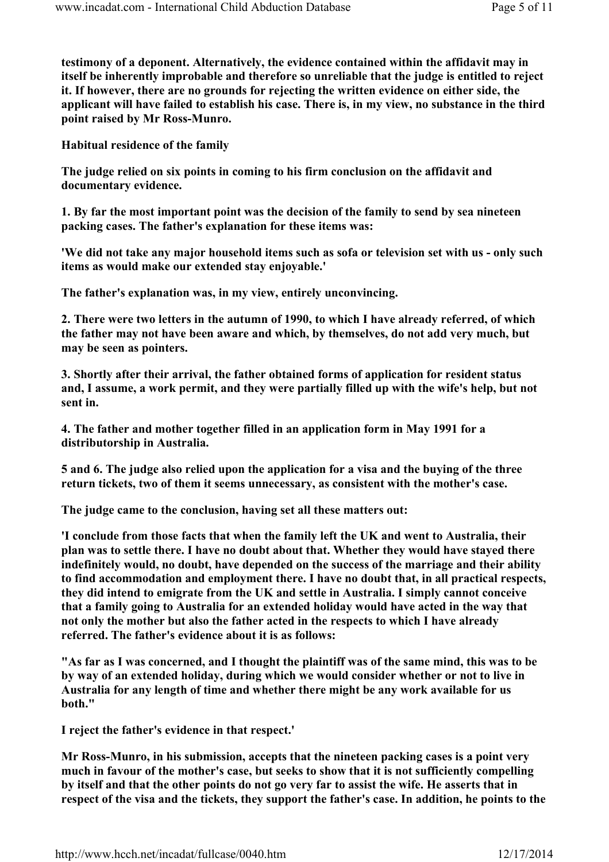testimony of a deponent. Alternatively, the evidence contained within the affidavit may in itself be inherently improbable and therefore so unreliable that the judge is entitled to reject it. If however, there are no grounds for rejecting the written evidence on either side, the applicant will have failed to establish his case. There is, in my view, no substance in the third point raised by Mr Ross-Munro.

Habitual residence of the family

The judge relied on six points in coming to his firm conclusion on the affidavit and documentary evidence.

1. By far the most important point was the decision of the family to send by sea nineteen packing cases. The father's explanation for these items was:

'We did not take any major household items such as sofa or television set with us - only such items as would make our extended stay enjoyable.'

The father's explanation was, in my view, entirely unconvincing.

2. There were two letters in the autumn of 1990, to which I have already referred, of which the father may not have been aware and which, by themselves, do not add very much, but may be seen as pointers.

3. Shortly after their arrival, the father obtained forms of application for resident status and, I assume, a work permit, and they were partially filled up with the wife's help, but not sent in.

4. The father and mother together filled in an application form in May 1991 for a distributorship in Australia.

5 and 6. The judge also relied upon the application for a visa and the buying of the three return tickets, two of them it seems unnecessary, as consistent with the mother's case.

The judge came to the conclusion, having set all these matters out:

'I conclude from those facts that when the family left the UK and went to Australia, their plan was to settle there. I have no doubt about that. Whether they would have stayed there indefinitely would, no doubt, have depended on the success of the marriage and their ability to find accommodation and employment there. I have no doubt that, in all practical respects, they did intend to emigrate from the UK and settle in Australia. I simply cannot conceive that a family going to Australia for an extended holiday would have acted in the way that not only the mother but also the father acted in the respects to which I have already referred. The father's evidence about it is as follows:

"As far as I was concerned, and I thought the plaintiff was of the same mind, this was to be by way of an extended holiday, during which we would consider whether or not to live in Australia for any length of time and whether there might be any work available for us both."

I reject the father's evidence in that respect.'

Mr Ross-Munro, in his submission, accepts that the nineteen packing cases is a point very much in favour of the mother's case, but seeks to show that it is not sufficiently compelling by itself and that the other points do not go very far to assist the wife. He asserts that in respect of the visa and the tickets, they support the father's case. In addition, he points to the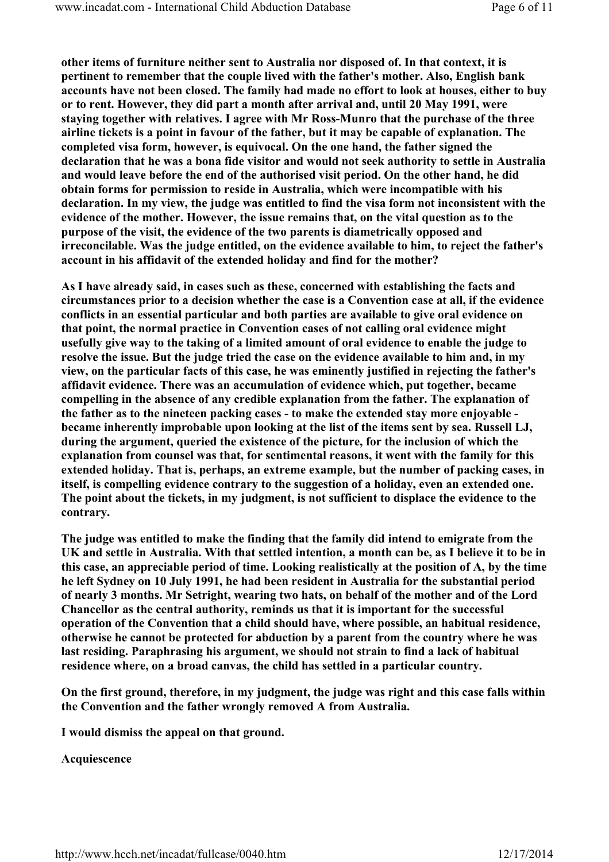other items of furniture neither sent to Australia nor disposed of. In that context, it is pertinent to remember that the couple lived with the father's mother. Also, English bank accounts have not been closed. The family had made no effort to look at houses, either to buy or to rent. However, they did part a month after arrival and, until 20 May 1991, were staying together with relatives. I agree with Mr Ross-Munro that the purchase of the three airline tickets is a point in favour of the father, but it may be capable of explanation. The completed visa form, however, is equivocal. On the one hand, the father signed the declaration that he was a bona fide visitor and would not seek authority to settle in Australia and would leave before the end of the authorised visit period. On the other hand, he did obtain forms for permission to reside in Australia, which were incompatible with his declaration. In my view, the judge was entitled to find the visa form not inconsistent with the evidence of the mother. However, the issue remains that, on the vital question as to the purpose of the visit, the evidence of the two parents is diametrically opposed and irreconcilable. Was the judge entitled, on the evidence available to him, to reject the father's account in his affidavit of the extended holiday and find for the mother?

As I have already said, in cases such as these, concerned with establishing the facts and circumstances prior to a decision whether the case is a Convention case at all, if the evidence conflicts in an essential particular and both parties are available to give oral evidence on that point, the normal practice in Convention cases of not calling oral evidence might usefully give way to the taking of a limited amount of oral evidence to enable the judge to resolve the issue. But the judge tried the case on the evidence available to him and, in my view, on the particular facts of this case, he was eminently justified in rejecting the father's affidavit evidence. There was an accumulation of evidence which, put together, became compelling in the absence of any credible explanation from the father. The explanation of the father as to the nineteen packing cases - to make the extended stay more enjoyable became inherently improbable upon looking at the list of the items sent by sea. Russell LJ, during the argument, queried the existence of the picture, for the inclusion of which the explanation from counsel was that, for sentimental reasons, it went with the family for this extended holiday. That is, perhaps, an extreme example, but the number of packing cases, in itself, is compelling evidence contrary to the suggestion of a holiday, even an extended one. The point about the tickets, in my judgment, is not sufficient to displace the evidence to the contrary.

The judge was entitled to make the finding that the family did intend to emigrate from the UK and settle in Australia. With that settled intention, a month can be, as I believe it to be in this case, an appreciable period of time. Looking realistically at the position of A, by the time he left Sydney on 10 July 1991, he had been resident in Australia for the substantial period of nearly 3 months. Mr Setright, wearing two hats, on behalf of the mother and of the Lord Chancellor as the central authority, reminds us that it is important for the successful operation of the Convention that a child should have, where possible, an habitual residence, otherwise he cannot be protected for abduction by a parent from the country where he was last residing. Paraphrasing his argument, we should not strain to find a lack of habitual residence where, on a broad canvas, the child has settled in a particular country.

On the first ground, therefore, in my judgment, the judge was right and this case falls within the Convention and the father wrongly removed A from Australia.

I would dismiss the appeal on that ground.

Acquiescence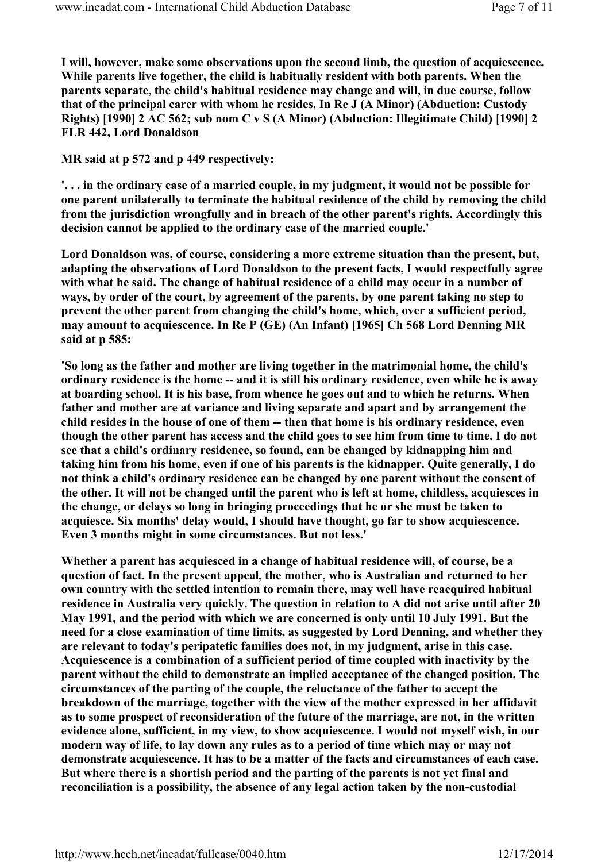I will, however, make some observations upon the second limb, the question of acquiescence. While parents live together, the child is habitually resident with both parents. When the parents separate, the child's habitual residence may change and will, in due course, follow that of the principal carer with whom he resides. In Re J (A Minor) (Abduction: Custody Rights) [1990] 2 AC 562; sub nom C v S (A Minor) (Abduction: Illegitimate Child) [1990] 2 FLR 442, Lord Donaldson

MR said at p 572 and p 449 respectively:

'. . . in the ordinary case of a married couple, in my judgment, it would not be possible for one parent unilaterally to terminate the habitual residence of the child by removing the child from the jurisdiction wrongfully and in breach of the other parent's rights. Accordingly this decision cannot be applied to the ordinary case of the married couple.'

Lord Donaldson was, of course, considering a more extreme situation than the present, but, adapting the observations of Lord Donaldson to the present facts, I would respectfully agree with what he said. The change of habitual residence of a child may occur in a number of ways, by order of the court, by agreement of the parents, by one parent taking no step to prevent the other parent from changing the child's home, which, over a sufficient period, may amount to acquiescence. In Re P (GE) (An Infant) [1965] Ch 568 Lord Denning MR said at p 585:

'So long as the father and mother are living together in the matrimonial home, the child's ordinary residence is the home -- and it is still his ordinary residence, even while he is away at boarding school. It is his base, from whence he goes out and to which he returns. When father and mother are at variance and living separate and apart and by arrangement the child resides in the house of one of them -- then that home is his ordinary residence, even though the other parent has access and the child goes to see him from time to time. I do not see that a child's ordinary residence, so found, can be changed by kidnapping him and taking him from his home, even if one of his parents is the kidnapper. Quite generally, I do not think a child's ordinary residence can be changed by one parent without the consent of the other. It will not be changed until the parent who is left at home, childless, acquiesces in the change, or delays so long in bringing proceedings that he or she must be taken to acquiesce. Six months' delay would, I should have thought, go far to show acquiescence. Even 3 months might in some circumstances. But not less.'

Whether a parent has acquiesced in a change of habitual residence will, of course, be a question of fact. In the present appeal, the mother, who is Australian and returned to her own country with the settled intention to remain there, may well have reacquired habitual residence in Australia very quickly. The question in relation to A did not arise until after 20 May 1991, and the period with which we are concerned is only until 10 July 1991. But the need for a close examination of time limits, as suggested by Lord Denning, and whether they are relevant to today's peripatetic families does not, in my judgment, arise in this case. Acquiescence is a combination of a sufficient period of time coupled with inactivity by the parent without the child to demonstrate an implied acceptance of the changed position. The circumstances of the parting of the couple, the reluctance of the father to accept the breakdown of the marriage, together with the view of the mother expressed in her affidavit as to some prospect of reconsideration of the future of the marriage, are not, in the written evidence alone, sufficient, in my view, to show acquiescence. I would not myself wish, in our modern way of life, to lay down any rules as to a period of time which may or may not demonstrate acquiescence. It has to be a matter of the facts and circumstances of each case. But where there is a shortish period and the parting of the parents is not yet final and reconciliation is a possibility, the absence of any legal action taken by the non-custodial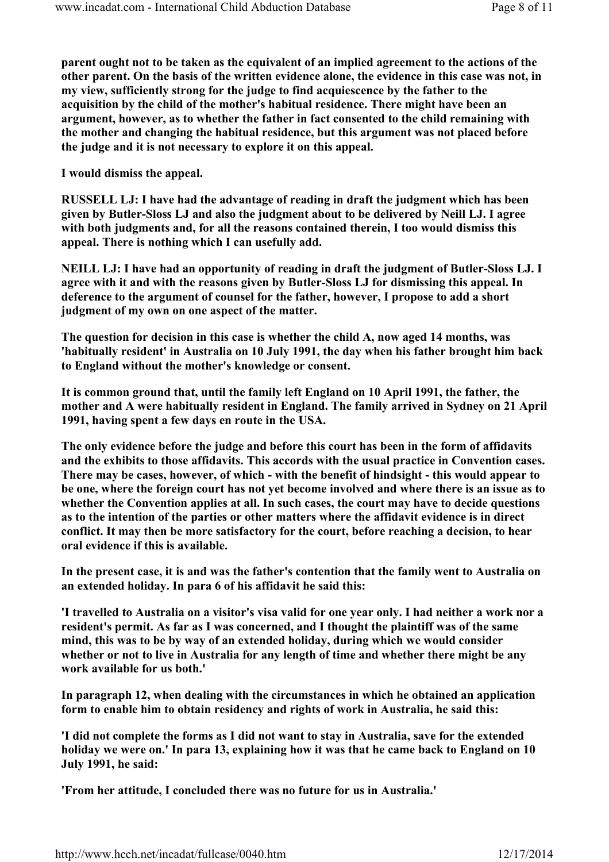parent ought not to be taken as the equivalent of an implied agreement to the actions of the other parent. On the basis of the written evidence alone, the evidence in this case was not, in my view, sufficiently strong for the judge to find acquiescence by the father to the acquisition by the child of the mother's habitual residence. There might have been an argument, however, as to whether the father in fact consented to the child remaining with the mother and changing the habitual residence, but this argument was not placed before the judge and it is not necessary to explore it on this appeal.

I would dismiss the appeal.

RUSSELL LJ: I have had the advantage of reading in draft the judgment which has been given by Butler-Sloss LJ and also the judgment about to be delivered by Neill LJ. I agree with both judgments and, for all the reasons contained therein, I too would dismiss this appeal. There is nothing which I can usefully add.

NEILL LJ: I have had an opportunity of reading in draft the judgment of Butler-Sloss LJ. I agree with it and with the reasons given by Butler-Sloss LJ for dismissing this appeal. In deference to the argument of counsel for the father, however, I propose to add a short judgment of my own on one aspect of the matter.

The question for decision in this case is whether the child A, now aged 14 months, was 'habitually resident' in Australia on 10 July 1991, the day when his father brought him back to England without the mother's knowledge or consent.

It is common ground that, until the family left England on 10 April 1991, the father, the mother and A were habitually resident in England. The family arrived in Sydney on 21 April 1991, having spent a few days en route in the USA.

The only evidence before the judge and before this court has been in the form of affidavits and the exhibits to those affidavits. This accords with the usual practice in Convention cases. There may be cases, however, of which - with the benefit of hindsight - this would appear to be one, where the foreign court has not yet become involved and where there is an issue as to whether the Convention applies at all. In such cases, the court may have to decide questions as to the intention of the parties or other matters where the affidavit evidence is in direct conflict. It may then be more satisfactory for the court, before reaching a decision, to hear oral evidence if this is available.

In the present case, it is and was the father's contention that the family went to Australia on an extended holiday. In para 6 of his affidavit he said this:

'I travelled to Australia on a visitor's visa valid for one year only. I had neither a work nor a resident's permit. As far as I was concerned, and I thought the plaintiff was of the same mind, this was to be by way of an extended holiday, during which we would consider whether or not to live in Australia for any length of time and whether there might be any work available for us both.'

In paragraph 12, when dealing with the circumstances in which he obtained an application form to enable him to obtain residency and rights of work in Australia, he said this:

'I did not complete the forms as I did not want to stay in Australia, save for the extended holiday we were on.' In para 13, explaining how it was that he came back to England on 10 July 1991, he said:

'From her attitude, I concluded there was no future for us in Australia.'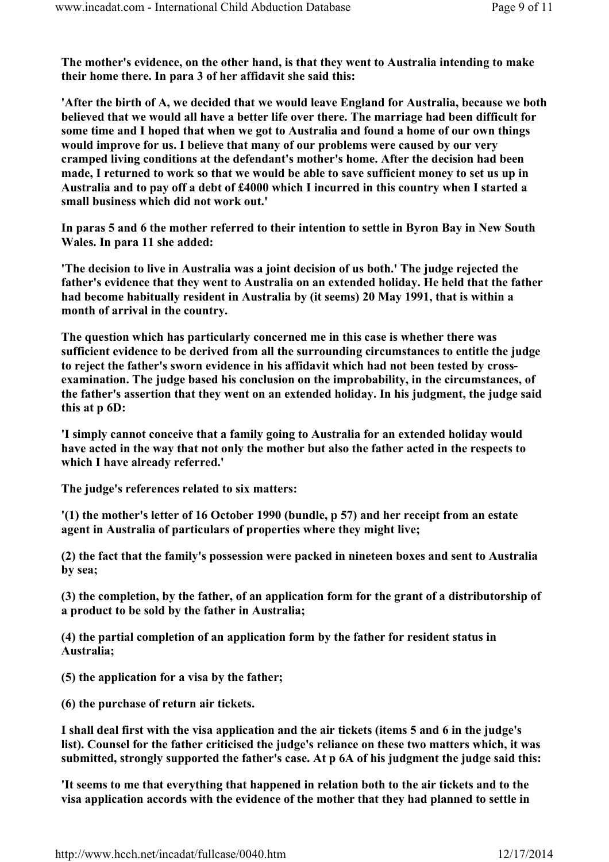The mother's evidence, on the other hand, is that they went to Australia intending to make their home there. In para 3 of her affidavit she said this:

'After the birth of A, we decided that we would leave England for Australia, because we both believed that we would all have a better life over there. The marriage had been difficult for some time and I hoped that when we got to Australia and found a home of our own things would improve for us. I believe that many of our problems were caused by our very cramped living conditions at the defendant's mother's home. After the decision had been made, I returned to work so that we would be able to save sufficient money to set us up in Australia and to pay off a debt of £4000 which I incurred in this country when I started a small business which did not work out.'

In paras 5 and 6 the mother referred to their intention to settle in Byron Bay in New South Wales. In para 11 she added:

'The decision to live in Australia was a joint decision of us both.' The judge rejected the father's evidence that they went to Australia on an extended holiday. He held that the father had become habitually resident in Australia by (it seems) 20 May 1991, that is within a month of arrival in the country.

The question which has particularly concerned me in this case is whether there was sufficient evidence to be derived from all the surrounding circumstances to entitle the judge to reject the father's sworn evidence in his affidavit which had not been tested by crossexamination. The judge based his conclusion on the improbability, in the circumstances, of the father's assertion that they went on an extended holiday. In his judgment, the judge said this at p 6D:

'I simply cannot conceive that a family going to Australia for an extended holiday would have acted in the way that not only the mother but also the father acted in the respects to which I have already referred.'

The judge's references related to six matters:

'(1) the mother's letter of 16 October 1990 (bundle, p 57) and her receipt from an estate agent in Australia of particulars of properties where they might live;

(2) the fact that the family's possession were packed in nineteen boxes and sent to Australia by sea;

(3) the completion, by the father, of an application form for the grant of a distributorship of a product to be sold by the father in Australia;

(4) the partial completion of an application form by the father for resident status in Australia;

(5) the application for a visa by the father;

(6) the purchase of return air tickets.

I shall deal first with the visa application and the air tickets (items 5 and 6 in the judge's list). Counsel for the father criticised the judge's reliance on these two matters which, it was submitted, strongly supported the father's case. At p 6A of his judgment the judge said this:

'It seems to me that everything that happened in relation both to the air tickets and to the visa application accords with the evidence of the mother that they had planned to settle in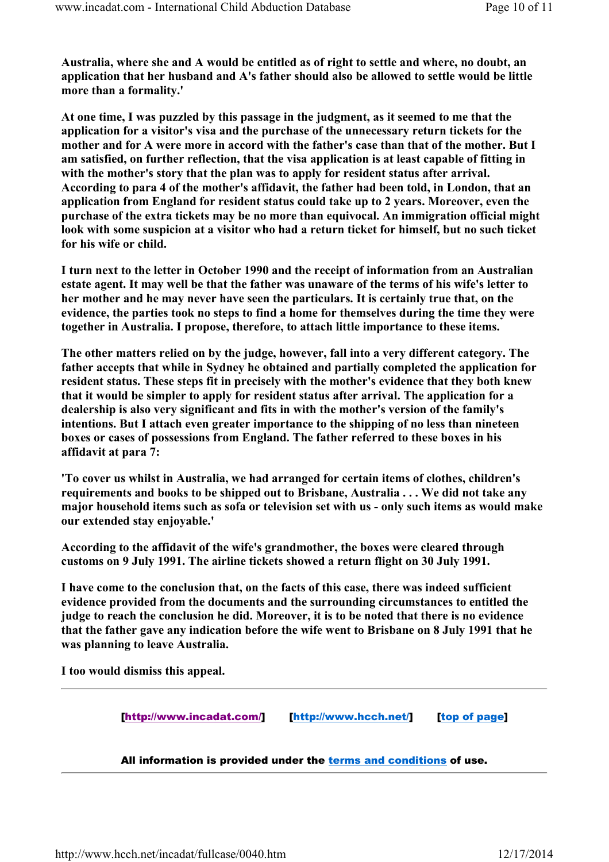Australia, where she and A would be entitled as of right to settle and where, no doubt, an application that her husband and A's father should also be allowed to settle would be little more than a formality.'

At one time, I was puzzled by this passage in the judgment, as it seemed to me that the application for a visitor's visa and the purchase of the unnecessary return tickets for the mother and for A were more in accord with the father's case than that of the mother. But I am satisfied, on further reflection, that the visa application is at least capable of fitting in with the mother's story that the plan was to apply for resident status after arrival. According to para 4 of the mother's affidavit, the father had been told, in London, that an application from England for resident status could take up to 2 years. Moreover, even the purchase of the extra tickets may be no more than equivocal. An immigration official might look with some suspicion at a visitor who had a return ticket for himself, but no such ticket for his wife or child.

I turn next to the letter in October 1990 and the receipt of information from an Australian estate agent. It may well be that the father was unaware of the terms of his wife's letter to her mother and he may never have seen the particulars. It is certainly true that, on the evidence, the parties took no steps to find a home for themselves during the time they were together in Australia. I propose, therefore, to attach little importance to these items.

The other matters relied on by the judge, however, fall into a very different category. The father accepts that while in Sydney he obtained and partially completed the application for resident status. These steps fit in precisely with the mother's evidence that they both knew that it would be simpler to apply for resident status after arrival. The application for a dealership is also very significant and fits in with the mother's version of the family's intentions. But I attach even greater importance to the shipping of no less than nineteen boxes or cases of possessions from England. The father referred to these boxes in his affidavit at para 7:

'To cover us whilst in Australia, we had arranged for certain items of clothes, children's requirements and books to be shipped out to Brisbane, Australia . . . We did not take any major household items such as sofa or television set with us - only such items as would make our extended stay enjoyable.'

According to the affidavit of the wife's grandmother, the boxes were cleared through customs on 9 July 1991. The airline tickets showed a return flight on 30 July 1991.

I have come to the conclusion that, on the facts of this case, there was indeed sufficient evidence provided from the documents and the surrounding circumstances to entitled the judge to reach the conclusion he did. Moreover, it is to be noted that there is no evidence that the father gave any indication before the wife went to Brisbane on 8 July 1991 that he was planning to leave Australia.

I too would dismiss this appeal.

[http://www.incadat.com/] [http://www.hcch.net/] [top of page]

All information is provided under the terms and conditions of use.